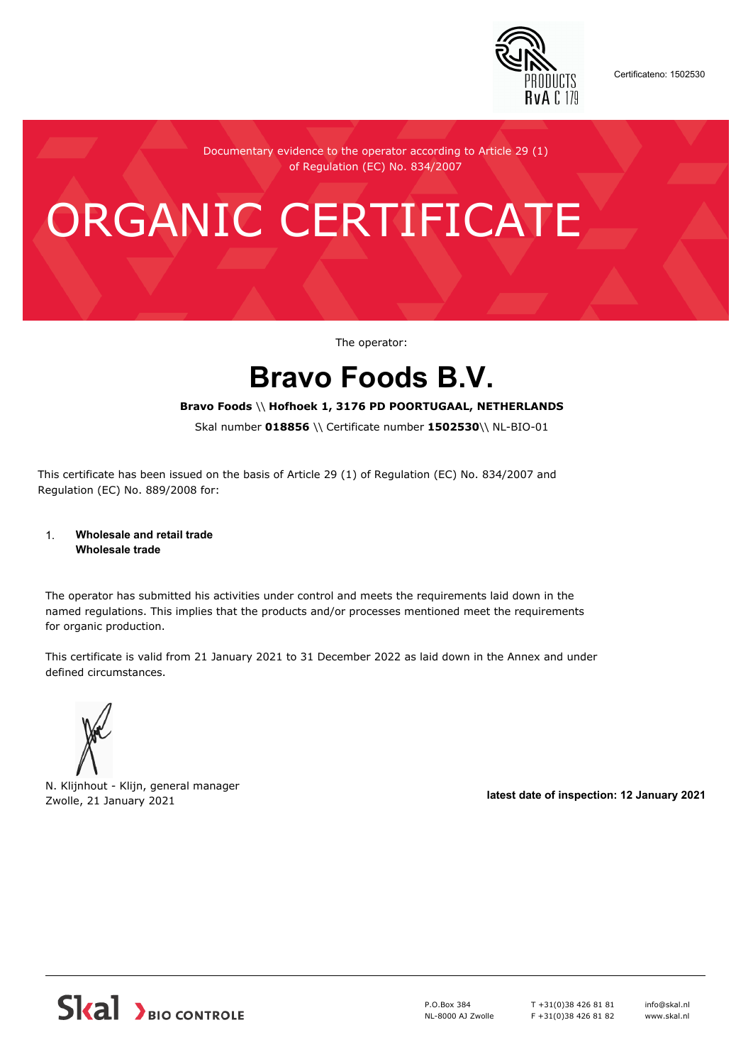

Certificateno: 1502530

Documentary evidence to the operator according to Article 29 (1) of Regulation (EC) No. 834/2007

# ORGANIC CERTIFICATE

The operator:

## **Bravo Foods B.V.**

#### **Bravo Foods** \\ **Hofhoek 1, 3176 PD POORTUGAAL, NETHERLANDS**

Skal number **018856** \\ Certificate number **1502530**\\ NL-BIO-01

This certificate has been issued on the basis of Article 29 (1) of Regulation (EC) No. 834/2007 and Regulation (EC) No. 889/2008 for:

#### 1. **Wholesale and retail trade Wholesale trade**

The operator has submitted his activities under control and meets the requirements laid down in the named regulations. This implies that the products and/or processes mentioned meet the requirements for organic production.

This certificate is valid from 21 January 2021 to 31 December 2022 as laid down in the Annex and under defined circumstances.



N. Klijnhout - Klijn, general manager Zwolle, 21 January 2021 **latest date of inspection: 12 January 2021**



P.O.Box 384 NL-8000 AJ Zwolle T +31(0)38 426 81 81 F +31(0)38 426 81 82